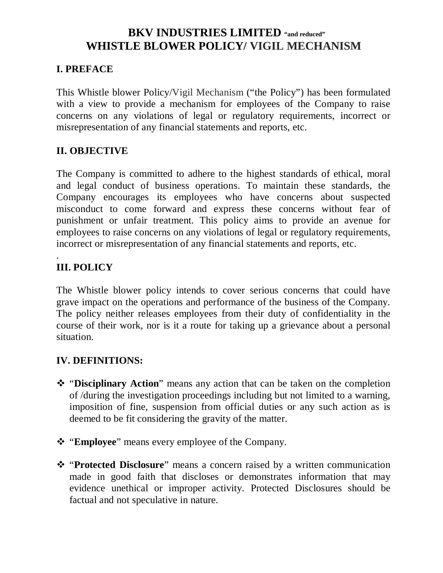## **I. PREFACE**

This Whistle blower Policy/Vigil Mechanism ("the Policy") has been formulated with a view to provide a mechanism for employees of the Company to raise concerns on any violations of legal or regulatory requirements, incorrect or misrepresentation of any financial statements and reports, etc.

## **II. OBJECTIVE**

The Company is committed to adhere to the highest standards of ethical, moral and legal conduct of business operations. To maintain these standards, the Company encourages its employees who have concerns about suspected misconduct to come forward and express these concerns without fear of punishment or unfair treatment. This policy aims to provide an avenue for employees to raise concerns on any violations of legal or regulatory requirements, incorrect or misrepresentation of any financial statements and reports, etc.

#### . **III. POLICY**

The Whistle blower policy intends to cover serious concerns that could have grave impact on the operations and performance of the business of the Company. The policy neither releases employees from their duty of confidentiality in the course of their work, nor is it a route for taking up a grievance about a personal situation.

## **IV. DEFINITIONS:**

- \* "Disciplinary Action" means any action that can be taken on the completion of /during the investigation proceedings including but not limited to a warning, imposition of fine, suspension from official duties or any such action as is deemed to be fit considering the gravity of the matter.
- \* "**Employee**" means every employee of the Company.
- **\*** "Protected Disclosure" means a concern raised by a written communication made in good faith that discloses or demonstrates information that may evidence unethical or improper activity. Protected Disclosures should be factual and not speculative in nature.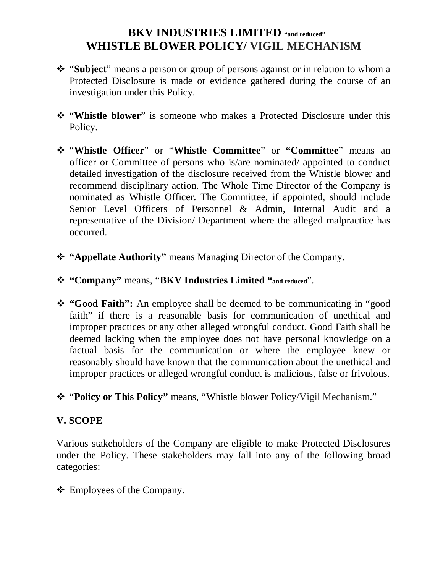- \* "Subject" means a person or group of persons against or in relation to whom a Protected Disclosure is made or evidence gathered during the course of an investigation under this Policy.
- \* "Whistle blower" is someone who makes a Protected Disclosure under this Policy.
- "**Whistle Officer**" or "**Whistle Committee**" or **"Committee**" means an officer or Committee of persons who is/are nominated/ appointed to conduct detailed investigation of the disclosure received from the Whistle blower and recommend disciplinary action. The Whole Time Director of the Company is nominated as Whistle Officer. The Committee, if appointed, should include Senior Level Officers of Personnel & Admin, Internal Audit and a representative of the Division/ Department where the alleged malpractice has occurred.
- **"Appellate Authority"** means Managing Director of the Company.
- **"Company"** means, "**BKV Industries Limited "and reduced**".
- **"Good Faith":** An employee shall be deemed to be communicating in "good faith" if there is a reasonable basis for communication of unethical and improper practices or any other alleged wrongful conduct. Good Faith shall be deemed lacking when the employee does not have personal knowledge on a factual basis for the communication or where the employee knew or reasonably should have known that the communication about the unethical and improper practices or alleged wrongful conduct is malicious, false or frivolous.
- \* "Policy or This Policy" means, "Whistle blower Policy/Vigil Mechanism."

#### **V. SCOPE**

Various stakeholders of the Company are eligible to make Protected Disclosures under the Policy. These stakeholders may fall into any of the following broad categories:

Employees of the Company.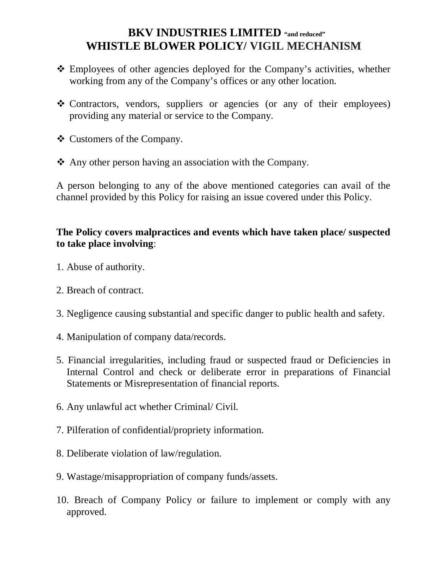- Employees of other agencies deployed for the Company's activities, whether working from any of the Company's offices or any other location.
- Contractors, vendors, suppliers or agencies (or any of their employees) providing any material or service to the Company.
- Customers of the Company.
- $\triangle$  Any other person having an association with the Company.

A person belonging to any of the above mentioned categories can avail of the channel provided by this Policy for raising an issue covered under this Policy.

#### **The Policy covers malpractices and events which have taken place/ suspected to take place involving**:

- 1. Abuse of authority.
- 2. Breach of contract.
- 3. Negligence causing substantial and specific danger to public health and safety.
- 4. Manipulation of company data/records.
- 5. Financial irregularities, including fraud or suspected fraud or Deficiencies in Internal Control and check or deliberate error in preparations of Financial Statements or Misrepresentation of financial reports.
- 6. Any unlawful act whether Criminal/ Civil.
- 7. Pilferation of confidential/propriety information.
- 8. Deliberate violation of law/regulation.
- 9. Wastage/misappropriation of company funds/assets.
- 10. Breach of Company Policy or failure to implement or comply with any approved.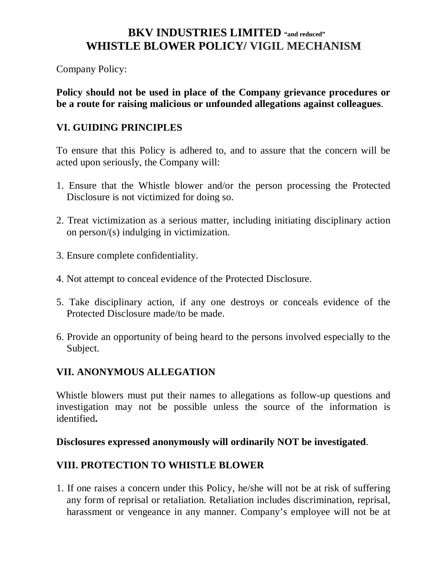Company Policy:

**Policy should not be used in place of the Company grievance procedures or be a route for raising malicious or unfounded allegations against colleagues**.

## **VI. GUIDING PRINCIPLES**

To ensure that this Policy is adhered to, and to assure that the concern will be acted upon seriously, the Company will:

- 1. Ensure that the Whistle blower and/or the person processing the Protected Disclosure is not victimized for doing so.
- 2. Treat victimization as a serious matter, including initiating disciplinary action on person/(s) indulging in victimization.
- 3. Ensure complete confidentiality.
- 4. Not attempt to conceal evidence of the Protected Disclosure.
- 5. Take disciplinary action, if any one destroys or conceals evidence of the Protected Disclosure made/to be made.
- 6. Provide an opportunity of being heard to the persons involved especially to the Subject.

## **VII. ANONYMOUS ALLEGATION**

Whistle blowers must put their names to allegations as follow-up questions and investigation may not be possible unless the source of the information is identified**.**

#### **Disclosures expressed anonymously will ordinarily NOT be investigated**.

## **VIII. PROTECTION TO WHISTLE BLOWER**

1. If one raises a concern under this Policy, he/she will not be at risk of suffering any form of reprisal or retaliation. Retaliation includes discrimination, reprisal, harassment or vengeance in any manner. Company's employee will not be at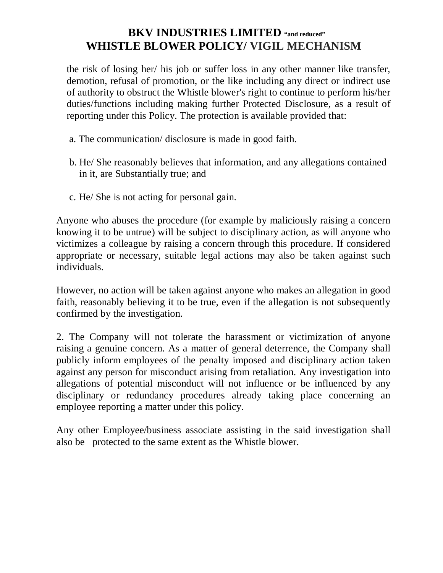the risk of losing her/ his job or suffer loss in any other manner like transfer, demotion, refusal of promotion, or the like including any direct or indirect use of authority to obstruct the Whistle blower's right to continue to perform his/her duties/functions including making further Protected Disclosure, as a result of reporting under this Policy. The protection is available provided that:

- a. The communication/ disclosure is made in good faith.
- b. He/ She reasonably believes that information, and any allegations contained in it, are Substantially true; and
- c. He/ She is not acting for personal gain.

Anyone who abuses the procedure (for example by maliciously raising a concern knowing it to be untrue) will be subject to disciplinary action, as will anyone who victimizes a colleague by raising a concern through this procedure. If considered appropriate or necessary, suitable legal actions may also be taken against such individuals.

However, no action will be taken against anyone who makes an allegation in good faith, reasonably believing it to be true, even if the allegation is not subsequently confirmed by the investigation.

2. The Company will not tolerate the harassment or victimization of anyone raising a genuine concern. As a matter of general deterrence, the Company shall publicly inform employees of the penalty imposed and disciplinary action taken against any person for misconduct arising from retaliation. Any investigation into allegations of potential misconduct will not influence or be influenced by any disciplinary or redundancy procedures already taking place concerning an employee reporting a matter under this policy.

Any other Employee/business associate assisting in the said investigation shall also be protected to the same extent as the Whistle blower.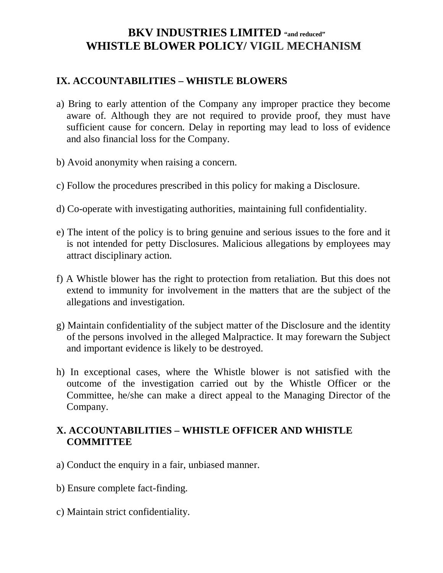#### **IX. ACCOUNTABILITIES – WHISTLE BLOWERS**

- a) Bring to early attention of the Company any improper practice they become aware of. Although they are not required to provide proof, they must have sufficient cause for concern. Delay in reporting may lead to loss of evidence and also financial loss for the Company.
- b) Avoid anonymity when raising a concern.
- c) Follow the procedures prescribed in this policy for making a Disclosure.
- d) Co-operate with investigating authorities, maintaining full confidentiality.
- e) The intent of the policy is to bring genuine and serious issues to the fore and it is not intended for petty Disclosures. Malicious allegations by employees may attract disciplinary action.
- f) A Whistle blower has the right to protection from retaliation. But this does not extend to immunity for involvement in the matters that are the subject of the allegations and investigation.
- g) Maintain confidentiality of the subject matter of the Disclosure and the identity of the persons involved in the alleged Malpractice. It may forewarn the Subject and important evidence is likely to be destroyed.
- h) In exceptional cases, where the Whistle blower is not satisfied with the outcome of the investigation carried out by the Whistle Officer or the Committee, he/she can make a direct appeal to the Managing Director of the Company.

#### **X. ACCOUNTABILITIES – WHISTLE OFFICER AND WHISTLE COMMITTEE**

- a) Conduct the enquiry in a fair, unbiased manner.
- b) Ensure complete fact-finding.
- c) Maintain strict confidentiality.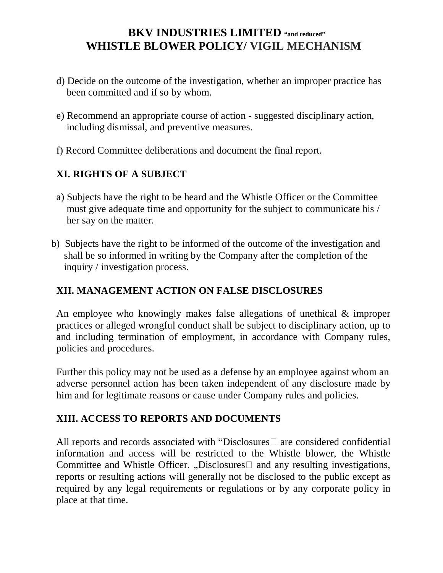- d) Decide on the outcome of the investigation, whether an improper practice has been committed and if so by whom.
- e) Recommend an appropriate course of action suggested disciplinary action, including dismissal, and preventive measures.
- f) Record Committee deliberations and document the final report.

# **XI. RIGHTS OF A SUBJECT**

- a) Subjects have the right to be heard and the Whistle Officer or the Committee must give adequate time and opportunity for the subject to communicate his / her say on the matter.
- b) Subjects have the right to be informed of the outcome of the investigation and shall be so informed in writing by the Company after the completion of the inquiry / investigation process.

# **XII. MANAGEMENT ACTION ON FALSE DISCLOSURES**

An employee who knowingly makes false allegations of unethical & improper practices or alleged wrongful conduct shall be subject to disciplinary action, up to and including termination of employment, in accordance with Company rules, policies and procedures.

Further this policy may not be used as a defense by an employee against whom an adverse personnel action has been taken independent of any disclosure made by him and for legitimate reasons or cause under Company rules and policies.

# **XIII. ACCESS TO REPORTS AND DOCUMENTS**

All reports and records associated with "Disclosures $\Box$  are considered confidential information and access will be restricted to the Whistle blower, the Whistle Committee and Whistle Officer. "Disclosures  $\Box$  and any resulting investigations, reports or resulting actions will generally not be disclosed to the public except as required by any legal requirements or regulations or by any corporate policy in place at that time.